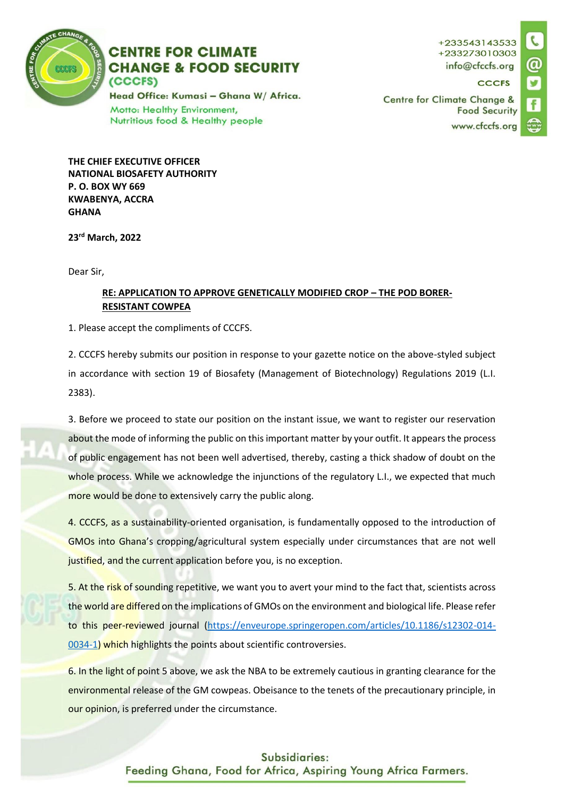

## **CENTRE FOR CLIMATE CHANGE & FOOD SECURITY** (CCCFS)

Head Office: Kumasi - Ghana W/ Africa. Motto: Healthy Environment, Nutritious food & Healthy people

+233543143533 +233273010303 info@cfccfs.org

**CCCFS** 

**Centre for Climate Change & Food Security** www.cfccfs.org



**THE CHIEF EXECUTIVE OFFICER NATIONAL BIOSAFETY AUTHORITY P. O. BOX WY 669 KWABENYA, ACCRA GHANA**

**23rd March, 2022**

Dear Sir,

## **RE: APPLICATION TO APPROVE GENETICALLY MODIFIED CROP – THE POD BORER-RESISTANT COWPEA**

1. Please accept the compliments of CCCFS.

2. CCCFS hereby submits our position in response to your gazette notice on the above-styled subject in accordance with section 19 of Biosafety (Management of Biotechnology) Regulations 2019 (L.I. 2383).

3. Before we proceed to state our position on the instant issue, we want to register our reservation about the mode of informing the public on this important matter by your outfit. It appears the process of public engagement has not been well advertised, thereby, casting a thick shadow of doubt on the whole process. While we acknowledge the injunctions of the regulatory L.I., we expected that much more would be done to extensively carry the public along.

4. CCCFS, as a sustainability-oriented organisation, is fundamentally opposed to the introduction of GMOs into Ghana's cropping/agricultural system especially under circumstances that are not well justified, and the current application before you, is no exception.

5. At the risk of sounding repetitive, we want you to avert your mind to the fact that, scientists across the world are differed on the implications of GMOs on the environment and biological life. Please refer to this peer-reviewed journal [\(https://enveurope.springeropen.com/articles/10.1186/s12302-014-](https://enveurope.springeropen.com/articles/10.1186/s12302-014-0034-1) [0034-1\)](https://enveurope.springeropen.com/articles/10.1186/s12302-014-0034-1) which highlights the points about scientific controversies.

6. In the light of point 5 above, we ask the NBA to be extremely cautious in granting clearance for the environmental release of the GM cowpeas. Obeisance to the tenets of the precautionary principle, in our opinion, is preferred under the circumstance.

## Subsidiaries:

Feeding Ghana, Food for Africa, Aspiring Young Africa Farmers.